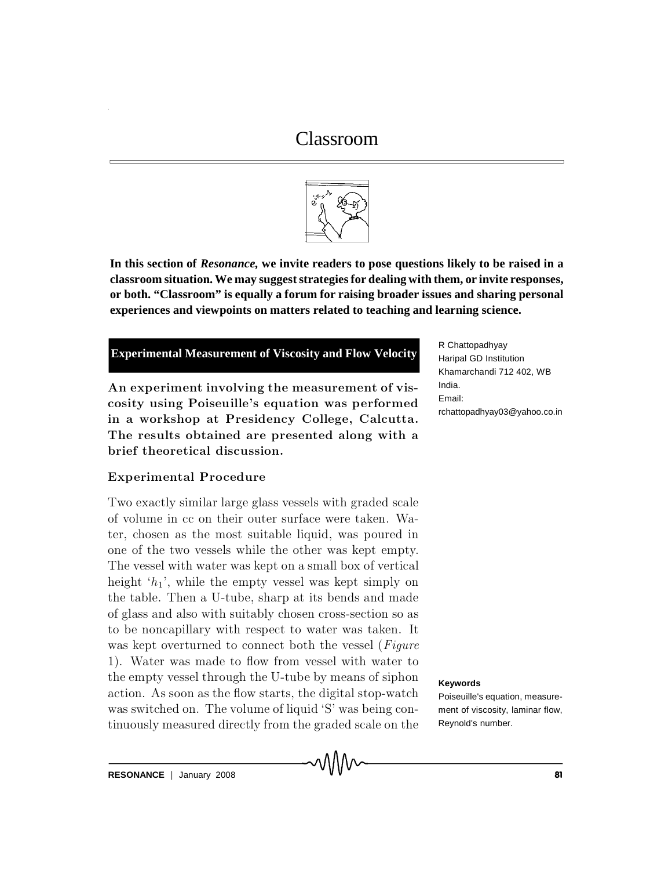# Classroom



**In this section of** *Resonance,* **we invite readers to pose questions likely to be raised in a classroom situation. We may suggest strategies for dealing with them, or invite responses, or both. "Classroom" is equally a forum for raising broader issues and sharing personal experiences and viewpoints on matters related to teaching and learning science.**

## **Experimental Measurement of Viscosity and Flow Velocity**

An experiment involving the measurement of viscosity using Poiseuille's equation was performed in a workshop at Presidency College, Calcutta. The results obtained are presented along with a brief theoretical discussion.

### Experimental Procedure

Two exactly similar large glass vessels with graded scale of volume in cc on their outer surface were taken. Water, chosen as the most suitable liquid, was poured in one of the two vessels while the other was kept empty. The vessel with water was kept on a small box of vertical height ' $h_1$ ', while the empty vessel was kept simply on the table. Then a U-tube, sharp at its bends and made of glass and also with suitably chosen cross-section so as to be noncapillary with respect to water was taken. It was kept overturned to connect both the vessel ( $Figure$ 1). Water was made to flow from vessel with water to the empty vessel through the U-tube by means of siphon action. As soon as the flow starts, the digital stop-watch was switched on. The volume of liquid  $S'$  was being continuously measured directly from the graded scale on the

R Chattopadhyay Haripal GD Institution Khamarchandi 712 402, WB India. Email: rchattopadhyay03@yahoo.co.in

#### **Keywords**

Poiseuille's equation, measurement of viscosity, laminar flow, Reynold's number.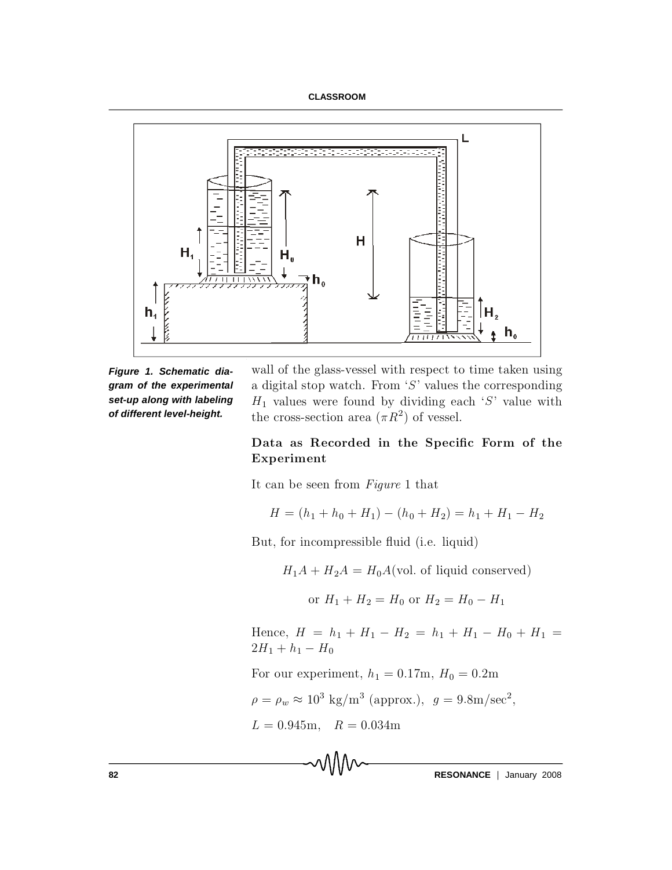#### **CLASSROOM**



*Figure 1. Schematic diagram of the experimental set-up along with labeling of different level-height.*

wall of the glass-vessel with respect to time taken using a digital stop watch. From  $'S'$  values the corresponding  $H_1$  values were found by dividing each 'S' value with the cross-section area  $(\pi R^2)$  of vessel.

## Data as Recorded in the Specific Form of the Experiment

It can be seen from  $Figure 1$  that

$$
H = (h_1 + h_0 + H_1) - (h_0 + H_2) = h_1 + H_1 - H_2
$$

But, for incompressible fluid (i.e. liquid)

 $H_1 A + H_2 A = H_0 A$  (vol. of liquid conserved)

or  $H_1 + H_2 = H_0$  or  $H_2 = H_0 - H_1$ 

Hence,  $H = h_1 + H_1 - H_2 = h_1 + H_1 - H_0 + H_1 =$  $2H_1 + h_1 - H_0$ 

For our experiment,  $h_1 = 0.17$ m,  $H_0 = 0.2$ m

$$
\rho = \rho_w \approx 10^3 \text{ kg/m}^3 \text{ (approx.)}, \ g = 9.8 \text{m/sec}^2,
$$

$$
L = 0.945\text{m}, \quad R = 0.034\text{m}
$$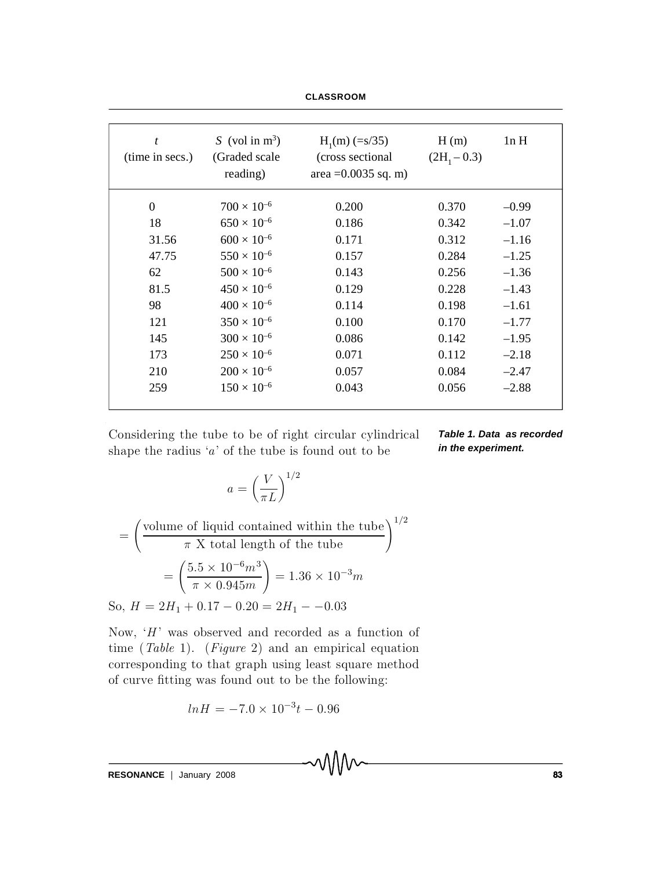**CLASSROOM**

| t<br>(time in secs.) | S (vol in $m^3$ )<br>(Graded scale)<br>reading) | $H_1(m)$ (=s/35)<br>(cross sectional)<br>area $=0.0035$ sq. m) | H(m)<br>$(2H_1 - 0.3)$ | ln H    |
|----------------------|-------------------------------------------------|----------------------------------------------------------------|------------------------|---------|
| $\theta$             | $700 \times 10^{-6}$                            | 0.200                                                          | 0.370                  | $-0.99$ |
| 18                   | $650 \times 10^{-6}$                            | 0.186                                                          | 0.342                  | $-1.07$ |
| 31.56                | $600 \times 10^{-6}$                            | 0.171                                                          | 0.312                  | $-1.16$ |
| 47.75                | $550 \times 10^{-6}$                            | 0.157                                                          | 0.284                  | $-1.25$ |
| 62                   | $500 \times 10^{-6}$                            | 0.143                                                          | 0.256                  | $-1.36$ |
| 81.5                 | $450 \times 10^{-6}$                            | 0.129                                                          | 0.228                  | $-1.43$ |
| 98                   | $400 \times 10^{-6}$                            | 0.114                                                          | 0.198                  | $-1.61$ |
| 121                  | $350 \times 10^{-6}$                            | 0.100                                                          | 0.170                  | $-1.77$ |
| 145                  | $300 \times 10^{-6}$                            | 0.086                                                          | 0.142                  | $-1.95$ |
| 173                  | $250 \times 10^{-6}$                            | 0.071                                                          | 0.112                  | $-2.18$ |
| 210                  | $200 \times 10^{-6}$                            | 0.057                                                          | 0.084                  | $-2.47$ |
| 259                  | $150 \times 10^{-6}$                            | 0.043                                                          | 0.056                  | $-2.88$ |
|                      |                                                 |                                                                |                        |         |

Considering the tube to be of right circular cylindrical shape the radius  $'a'$  of the tube is found out to be

*Table 1. Data as recorded in the experiment.*

$$
a = \left(\frac{V}{\pi L}\right)^{1/2}
$$

$$
= \left(\frac{\text{volume of liquid contained within the tube}}{\pi \text{ X total length of the tube}}\right)^{1/2}
$$

$$
= \left(\frac{5.5 \times 10^{-6} m^3}{\pi \times 0.945 m}\right) = 1.36 \times 10^{-3} m
$$
  
So,  $H = 2H_1 + 0.17 - 0.20 = 2H_1 - -0.03$ 

Now,  $H'$  was observed and recorded as a function of time (Table 1). (Figure 2) and an empirical equation corresponding to that graph using least square method of curve fitting was found out to be the following:

$$
ln H = -7.0 \times 10^{-3} t - 0.96
$$

**RESONANCE** | January 2008 83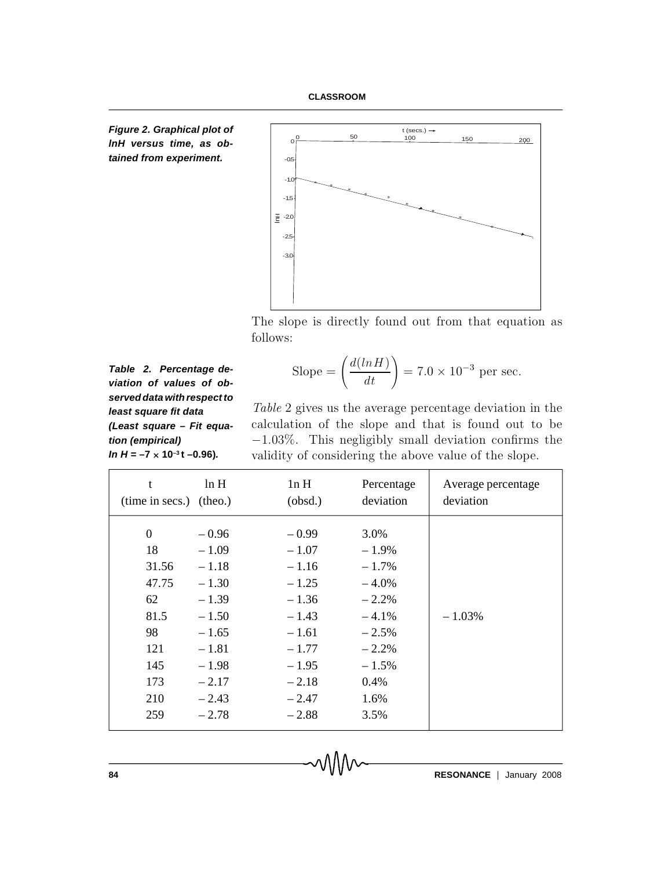





The slope is directly found out from that equation as follows:

Slope = 
$$
\left(\frac{d(lnH)}{dt}\right)
$$
 = 7.0 × 10<sup>-3</sup> per sec.

*Table 2. Percentage deviation of values of observed data with respect to least square fit data (Least square – Fit equation (empirical) In*  $H = -7 \times 10^{-3}$ **t** –0.96)*.* 

Table 2 gives us the average percentage deviation in the calculation of the slope and that is found out to be  $-1.03\%$ . This negligibly small deviation confirms the validity of considering the above value of the slope.

| t                       | ln H    | ln H    | Percentage | Average percentage |
|-------------------------|---------|---------|------------|--------------------|
| (time in secs.) (theo.) |         | (obsd.) | deviation  | deviation          |
| $\theta$                | $-0.96$ | $-0.99$ | 3.0%       | $-1.03\%$          |
| 18                      | $-1.09$ | $-1.07$ | $-1.9\%$   |                    |
| 31.56                   | $-1.18$ | $-1.16$ | $-1.7\%$   |                    |
| 47.75                   | $-1.30$ | $-1.25$ | $-4.0%$    |                    |
| 62                      | $-1.39$ | $-1.36$ | $-2.2%$    |                    |
| 81.5                    | $-1.50$ | $-1.43$ | $-4.1%$    |                    |
| 98                      | $-1.65$ | $-1.61$ | $-2.5%$    |                    |
| 121                     | $-1.81$ | $-1.77$ | $-2.2%$    |                    |
| 145                     | $-1.98$ | $-1.95$ | $-1.5%$    |                    |
| 173                     | $-2.17$ | $-2.18$ | $0.4\%$    |                    |
| 210                     | $-2.43$ | $-2.47$ | 1.6%       |                    |
| 259                     | $-2.78$ | $-2.88$ | 3.5%       |                    |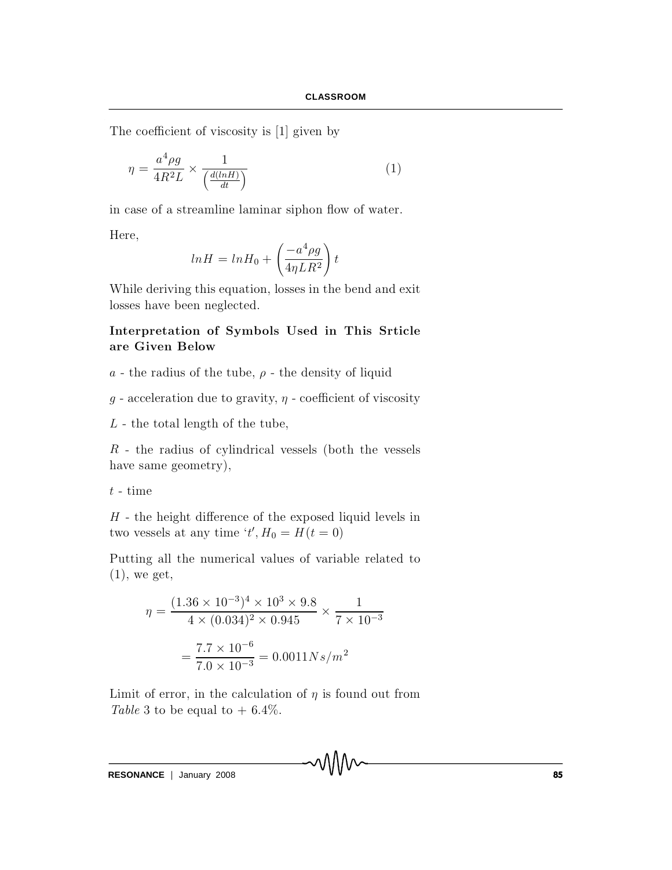The coefficient of viscosity is  $[1]$  given by

$$
\eta = \frac{a^4 \rho g}{4R^2 L} \times \frac{1}{\left(\frac{d(lnH)}{dt}\right)}\tag{1}
$$

in case of a streamline laminar siphon flow of water.

Here,

$$
ln H = ln H_0 + \left(\frac{-a^4 \rho g}{4\eta LR^2}\right)t
$$

While deriving this equation, losses in the bend and exit losses have been neglected.

## Interpretation of Symbols Used in This Srticle are Given Below

- a the radius of the tube,  $\rho$  the density of liquid
- $g$  acceleration due to gravity,  $\eta$  coefficient of viscosity
- $L$  the total length of the tube,

 $R$  - the radius of cylindrical vessels (both the vessels have same geometry),

 $t$  - time

 $H$  - the height difference of the exposed liquid levels in two vessels at any time  $t', H_0 = H(t = 0)$ 

Putting all the numerical values of variable related to  $(1)$ , we get,

$$
\eta = \frac{(1.36 \times 10^{-3})^4 \times 10^3 \times 9.8}{4 \times (0.034)^2 \times 0.945} \times \frac{1}{7 \times 10^{-3}}
$$

$$
= \frac{7.7 \times 10^{-6}}{7.0 \times 10^{-3}} = 0.0011Ns/m^2
$$

Limit of error, in the calculation of  $\eta$  is found out from Table 3 to be equal to  $+ 6.4\%$ .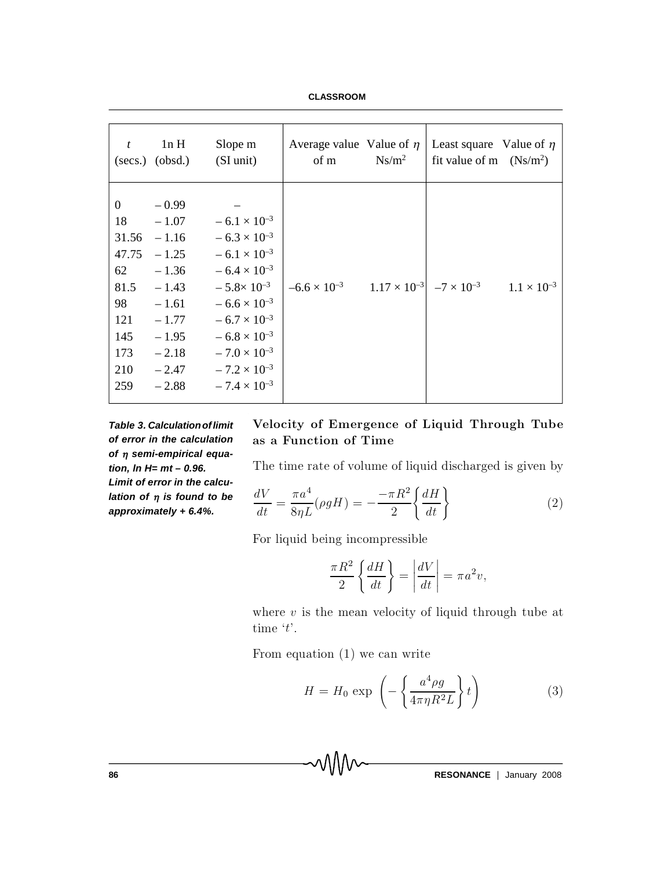**CLASSROOM**

| t                                                                                             | 1nH<br>$(secs.)$ $(obsd.)$                                                                                                       | Slope m<br>(SI unit)                                                                                                                                                                                                                                                          | Average value Value of $\eta$<br>of m                                                | $Ns/m^2$ | Least square Value of $\eta$<br>fit value of m $(Ns/m^2)$ |  |
|-----------------------------------------------------------------------------------------------|----------------------------------------------------------------------------------------------------------------------------------|-------------------------------------------------------------------------------------------------------------------------------------------------------------------------------------------------------------------------------------------------------------------------------|--------------------------------------------------------------------------------------|----------|-----------------------------------------------------------|--|
| $\overline{0}$<br>18<br>31.56<br>47.75<br>62<br>81.5<br>98<br>121<br>145<br>173<br>210<br>259 | $-0.99$<br>$-1.07$<br>$-1.16$<br>$-1.25$<br>$-1.36$<br>$-1.43$<br>$-1.61$<br>$-1.77$<br>$-1.95$<br>$-2.18$<br>$-2.47$<br>$-2.88$ | $-6.1 \times 10^{-3}$<br>$-6.3 \times 10^{-3}$<br>$-6.1 \times 10^{-3}$<br>$-6.4 \times 10^{-3}$<br>$-5.8\times10^{-3}$<br>$-6.6 \times 10^{-3}$<br>$-6.7 \times 10^{-3}$<br>$-6.8 \times 10^{-3}$<br>$-7.0 \times 10^{-3}$<br>$-7.2 \times 10^{-3}$<br>$-7.4 \times 10^{-3}$ | $-6.6 \times 10^{-3}$ $1.17 \times 10^{-3}$ $-7 \times 10^{-3}$ $1.1 \times 10^{-3}$ |          |                                                           |  |

*Table 3. Calculationoflimit of error in the calculation of semi-empirical equation, ln H= mt – 0.96. Limit of error in the calculation of is found to be approximately + 6.4%.*

## Velocity of Emergence of Liquid Through Tube as a Function of Time

The time rate of volume of liquid discharged is given by

$$
\frac{dV}{dt} = \frac{\pi a^4}{8\eta L} (\rho g H) = -\frac{-\pi R^2}{2} \left\{ \frac{dH}{dt} \right\} \tag{2}
$$

For liquid being incompressible

$$
\frac{\pi R^2}{2} \left\{ \frac{dH}{dt} \right\} = \left| \frac{dV}{dt} \right| = \pi a^2 v,
$$

where  $v$  is the mean velocity of liquid through tube at time  $'t'.$ 

From equation  $(1)$  we can write

$$
H = H_0 \exp\left(-\left\{\frac{a^4 \rho g}{4\pi \eta R^2 L}\right\} t\right) \tag{3}
$$